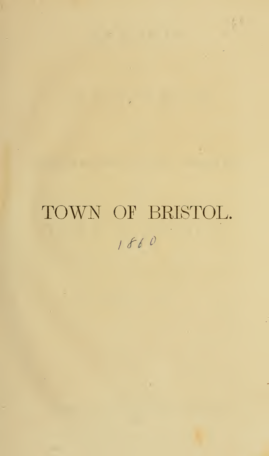# TOWN OF BRISTOL. $1860$

 $\rightarrow$ 

大く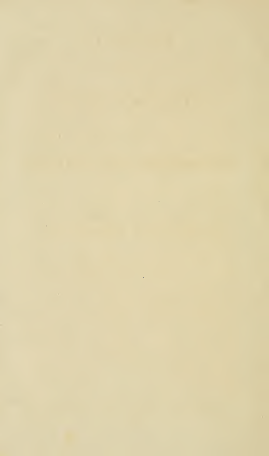$\mathcal{A}=\{1,2,3\}$  $\sim 10^{11}$  km s  $^{-1}$ 

 $\label{eq:1} \mathcal{L}_{\mathcal{A}}(\mathcal{A}) = \mathcal{L}_{\mathcal{A}}(\mathcal{A}) = \mathcal{L}_{\mathcal{A}}(\mathcal{A})$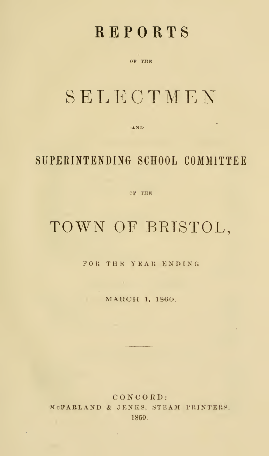## REPORTS

### OF THE

## SELECTMEN

AND

## SUPERINTENDING SCHOOL COMMITTEE

OF THE

## TOWN OF BRISTOL,

FOR THE YEAR ENDING

MARCH 1, I860.

CONCORD: McFARLAND & JENKS, STEAM PRINTERS. 1860.

÷.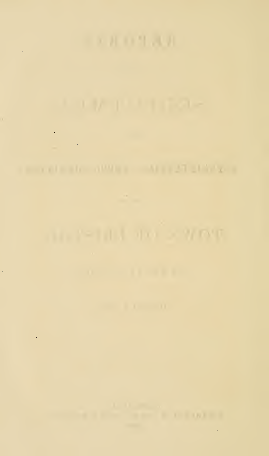## → 月11月以月

l,

×

The CONTRACTOR COMPANY IS A RESIDENCE.

 $(11.19111.100) \times 9769$ 

 $\mathcal{O}_{\mathcal{A}^{\mathrm{op}}}$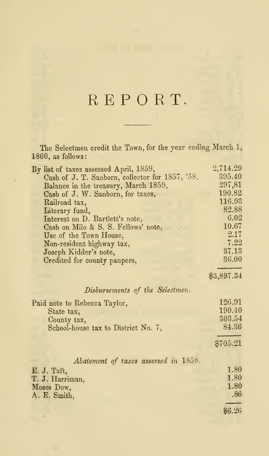## REPORT.

The Selectmen credit the Town, for the year ending March 1, 1860, as follows:

| By list of taxes assessed April, $1859$ ,       | 2,714.29   |
|-------------------------------------------------|------------|
| Cash of J. T. Sanborn, collector for 1857, '58, | 395.40     |
| Balance in the treasury, March 1859,            | 297,81     |
| Cash of J. W. Sanborn, for taxes,               | 190.82     |
| Railroad tax.                                   | 116.93     |
| Literary fund,                                  | 82.88      |
| Interest on D. Bartlett's note,                 | 6.02       |
| Cash on Milo & S. S. Fellows' note,             | 10.67      |
| Use of the Town House,                          | 2.17       |
| Non-resident highway tax,                       | 7.22       |
| Joseph Kidder's note,                           | 37.13      |
| Credited for county paupers,                    | 36.00      |
|                                                 | \$3,897.34 |
| Disbursements of the Selectmen.                 |            |
| Paid note to Rebecca Taylor,                    | 126.91     |
| State tax,                                      | 190.40     |
| County tax,                                     | 303.54     |
| School-house tax to District No. 7,             | 84.36      |
|                                                 | \$705.21   |
|                                                 |            |
| Abatement of taxes assessed in 1858.            |            |
| E. J. Taft,                                     | 1.80       |
| T. J. Harriman,                                 | 1.80       |
| Moses Dow,                                      | 1.80       |
| A. E. Smith,                                    | .86        |
|                                                 | 8696       |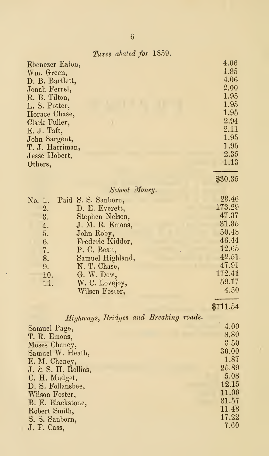|                               | Taxes abated for 1859.                |             |
|-------------------------------|---------------------------------------|-------------|
| Ebenezer Eaton,               |                                       | 4.06        |
| Wm. Green,                    |                                       | 1.95        |
| D. B. Bartlett,               |                                       | 4.06        |
| Jonah Ferrel,                 |                                       | 2.00        |
| R. B. Tilton,                 |                                       | 1.95        |
| L. S. Potter,                 |                                       | 1.95        |
| Horace Chase,                 |                                       | 1.95        |
| Clark Fuller,                 |                                       | 2.94        |
| E. J. Taft,                   |                                       | 2.11        |
| John Sargent,                 |                                       | 1.95        |
| T. J. Harriman,               |                                       | 1.95        |
| Jesse Hobert,                 |                                       | $2.35\,$    |
| Others.                       |                                       | 1.13        |
|                               |                                       |             |
|                               |                                       | \$30.35     |
|                               | School Money.                         |             |
| No. 1.                        | Paid S. S. Sanborn,                   | $23.46\,$   |
| 2.                            | D. E. Everett,                        | 173.29      |
| 3.                            | Stephen Nelson,                       | 47.37       |
| 4.                            | J. M. R. Emons,                       | 31.35       |
| 5.                            | John Roby,                            | 50.48       |
| 6.                            | Frederic Kidder,                      | 46.44       |
| 7.                            | P. C. Bean,                           | 12.65       |
| 8.                            | Samuel Highland,                      | 42.51.      |
| 9.                            | N. T. Chase,                          | 47.91       |
| 10.                           | G. W. Dow,                            | 172.41      |
| 11.                           | W. C. Lovejoy,                        | 59.17       |
|                               | Wilson Foster,                        | 4.50        |
|                               |                                       | \$711.54    |
|                               | Highways, Bridges and Breaking roads. |             |
| $\alpha$ and $\beta$ $\alpha$ |                                       | $\Delta$ 00 |

| Samuel Page,        | 4.00         |
|---------------------|--------------|
| T. R. Emons,        | 8.80         |
| Moses Cheney,       | <b>3.50</b>  |
| Samuel W. Heath,    | <b>30.00</b> |
| E. M. Cheney,       | 1.87         |
| J. & S. H. Rollins, | 25.89        |
| C. H. Mudget,       | 5.08         |
| D. S. Follansbee,   | 12.15        |
| Wilson Foster,      | 11.00        |
| B. E. Blackstone,   | 31.57        |
| Robert Smith,       | 11.43        |
| S. S. Sanborn,      | 17.22        |
| J. F. Cass,         | 7.60         |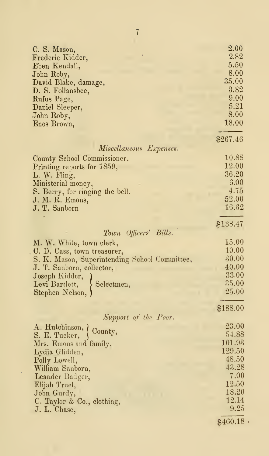| C. S. Mason,                                  | 2,00      |
|-----------------------------------------------|-----------|
| Frederic Kidder,                              | 2.82      |
| Eben Kendall,                                 | 5.50      |
| John Roby,                                    | 8.00      |
| David Blake, damage,                          | 35.00     |
| D. S. Follansbee,                             | 3.82      |
| Rufus Page,                                   | 9.00      |
| Daniel Sleeper,                               | 5.21      |
|                                               | 8.00      |
| John Roby,                                    | 18.00     |
| Enos Brown,                                   |           |
|                                               | \$267.46  |
|                                               |           |
| Miscellaneous Expenses.                       |           |
| County School Commissioner.                   | 10.88     |
| Printing reports for 1859,                    | 12.00     |
| L. W. Fling,                                  | 36.20     |
| Ministerial money,                            | 6.00      |
| S. Berry, for ringing the bell.               | 4.75      |
| J. M. R. Emons,                               | 52.00     |
| J. T. Sanborn                                 | 16.62     |
|                                               |           |
|                                               | \$138.47  |
| Town Officers' Bills.                         |           |
| M. W. White, town clerk,                      | 15.00     |
| C. D. Cass, town treasurer,                   | $10.00\,$ |
| S. K. Mason, Superintending School Committee, | 30.00     |
| J. T. Sanborn, collector,                     | 40.00     |
| Joseph Kidder,                                | 33.00     |
| Selectmen.<br>Levi Bartlett,                  | 35.00     |
| Stephen Nelson, )                             | 25.00     |
|                                               |           |
|                                               | \$188.00  |
| Support of the Poor.                          |           |
| A. Hutchinson, $\Big\{$ County,               | 23.00     |
|                                               | 54.88     |
|                                               |           |
| Mrs. Emons and family.                        | 101.93    |
| Lydia Glidden,                                | 129.50    |
| Polly Lowell,                                 | 48.50     |
| William Sanborn,                              | 43.28     |
| Leander Badger,                               | $7.00\,$  |
| Elijah Truel,                                 | 12.50     |
| John Gurdy,                                   | 18.20     |
| C. Taylor & Co., clothing,                    | 12.14     |
| J. L. Chase,                                  | 9.25      |
|                                               | 0.46018   |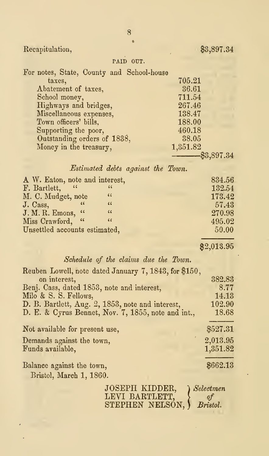Recapitulation,

### PAID OUT.

| For notes, State, County and School-house |                                                                   |
|-------------------------------------------|-------------------------------------------------------------------|
| taxes,                                    | 705.21                                                            |
| Abatement of taxes,                       | 36.61                                                             |
| School money,                             | 711.54                                                            |
| Highways and bridges,                     | 267.46                                                            |
| Miscellaneous expenses,                   | 138.47                                                            |
| Town officers' bills,                     | 188.00                                                            |
| Supporting the poor,                      | 460.18                                                            |
| Outstanding orders of 1838,               | 38.05                                                             |
| Money in the treasury,                    | 1,351.82                                                          |
|                                           | $\textcolor{red}{\textbf{53.897.34}}$<br>$\overline{\phantom{a}}$ |

Estimated debts against the Town.

| A W. Eaton, note and interest, |            | 834.56 |
|--------------------------------|------------|--------|
| F. Bartlett.<br>66             | 66         | 132.54 |
| M. C. Mudget, note             | 66         | 173.42 |
| $J.$ Cass,<br>$\epsilon$       | $\epsilon$ | 57.43  |
| $J. M. R. E$ mons, "           | 66         | 270.98 |
| Miss Crawford, "               | 66         | 495.02 |
| Unsettled accounts estimated,  |            | 50.00  |

\$2,013.95

### Schedule of the claims due the Town.

| Reuben Lowell, note dated January 7, 1843, for \$150, |           |
|-------------------------------------------------------|-----------|
| on interest,                                          | 382.83    |
| Benj. Cass, dated 1853, note and interest,            | 8.77      |
| Milo & S. S. Fellows,                                 | 14.13     |
| D. B. Bartlett, Aug. 2, 1853, note and interest,      | 102.90    |
| D. E. & Cyrus Bennet, Nov. 7, 1855, note and int.,    | 18.68     |
| Not available for present use,                        | \$527.31  |
| Demands against the town,                             | 2,013.95  |
| Funds available,                                      | 1,351.82  |
| Balance against the town,                             | \$662.13  |
| Bristol, March 1, 1860.                               |           |
| JOSEPH KIDDER,                                        | Selectmen |
| LEVI BARTLETT,                                        |           |
| STEPHEN NELSON,                                       | Bristol.  |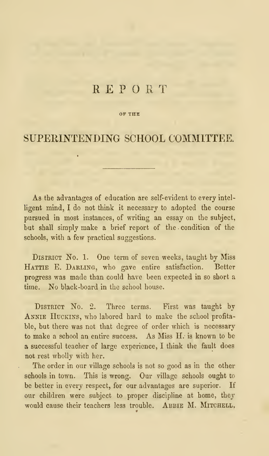### REPORT

### OF THE

## SUPERINTENDING SCHOOL COMMITTEE.

As the advantages of education are self-evident to every intel ligent mind, I do not think it necessary to adopted the course pursued in most instances, of writing an essay on the subject, but shall simply make a brief report of the condition of the schools, with a few practical suggestions.

DISTRICT No. 1. One term of seven weeks, taught by Miss HATTIE E. DARLING, who gave entire satisfaction. Better progress was made than could have been expected in so short a time. No black-board in the school house.

DISTRICT No. 2. Three terms. First was taught by Annie Huckins, who labored hard to make the school profitable, but there was not that degree of order which is necessary to make a school an entire success. As Miss H. is known to be a successful teacher of large experience, I think the fault does not rest wholly with her.

The order in our village schools is not so good as in the other schools in town. This is wrong. Our village schools ought to be better in every respect, for our advantages are superior. If our children were subject to proper discipline at home, they would cause their teachers less trouble. ABBIE M. MITCHELL,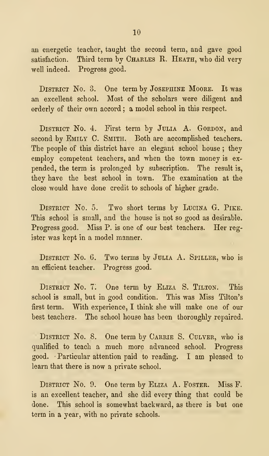an energetic teacher, taught the second term, and gave good satisfaction. Third term by CHARLES R. HEATH, who did very well indeed. Progress good.

District No. 3. One term by Josephine Moore. It was an excellent school. Most of the scholars were diligent and orderly of their own accord ; a model school in this respect.

DISTRICT No. 4. First term by JULIA A. GORDON, and second by EMILY C. SMITH. Both are accomplished teachers. The people of this district have an elegant school house; they employ competent teachers, and when the town money is ex pended, the term is prolonged by subscription. The result is, they have the best school in town. The examination at the close would have done credit to schools of higher grade.

DISTRICT No. 5. Two short terms by LUCINA G. PIKE. This school is small, and the house is not so good as desirable. Progress good. Miss P. is one of our best teachers. Her register was kept in a model manner.

DISTRICT No. 6. Two terms by JULIA A. SPILLER, who is an efficient teacher. Progress good.

DISTRICT No. 7. One term by ELIZA S. TILTON. This school is small, but in good condition. This was Miss Tilton's first term. With experience, I think she will make one of our best teachers. The school house has been thoroughly repaired.

DISTRICT No. 8. One term by CARRIE S. CULVER, who is qualified to teach a much more advanced school. Progress good. Particular attention paid to reading. I am pleased to learn that there is now a private school.

DISTRICT No. 9. One term by ELIZA A. FOSTER. Miss F. is an excellent teacher, and she did every thing that could be done. This school is somewhat backward, as there is but one term in a year, with no private schools.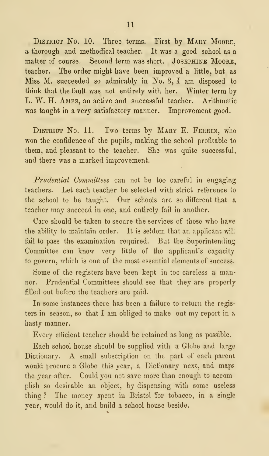DISTRICT No. 10. Three terms. First by MARY MOORE, a thorough and methodical teacher. It was a good school as a matter of course. Second term was short. Josephine Moore, teacher. The order might have been improved a little, but as Miss M. succeeded so admirably in No. 3, <sup>I</sup> am disposed to think that the fault was not entirely with her. Winter term by L. W. H. Ames, an active and successful teacher. Arithmetic was taught in a very satisfactory manner. Improvement good.

DISTRICT No. 11. Two terms by MARY E. FERRIN, who won the confidence of the pupils, making the school profitable to them, and pleasant to the teacher. She was quite successful, and there was a marked improvement.

Prudential Committees can not be too careful in engaging teachers. Let each teacher be selected with strict reference to the school to be taught. Our schools are so different that a teacher may succeed in one, and entirely fail in another.

Care should be taken to secure the services of those who have the ability to maintain order. It is seldom that an applicant will fail to pass the examination required. But the Superintending Committee can know very little of the applicant's capacity to govern, which is one of the most essential elements of success.

Some of the registers have been kept in too careless a manner. Prudential Committees should see that they are properly filled out before the teachers are paid.

In some instances there has been a failure to return the registers in season, so that <sup>I</sup> am obliged to make out my report in <sup>a</sup> hasty manner.

Every efficient teacher should be retained as long as possible.

Each school house should be supplied with a Globe and large Dictionary. A small subscription on the part of each parent would procure a Globe this year, a Dictionary next, and maps the year after. Could you not save more than enough to accomplish so desirable an object, by dispensing with some useless thing? The money spent in Bristol for tobacco, in a single year, would do it, and build a school house beside.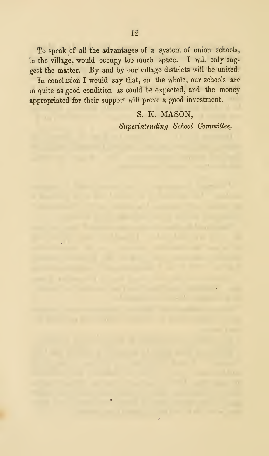To speak of all the advantages of a system of union schools in the village, would occupy too much space. <sup>I</sup> will only suggest the matter. By and by our village districts will be united.

In conclusion I would say that, on the whole, our schools are in quite as good condition as could be expected, and the money appropriated for their support will prove a good investment.

> S. K. MASON, Superintending School Committee.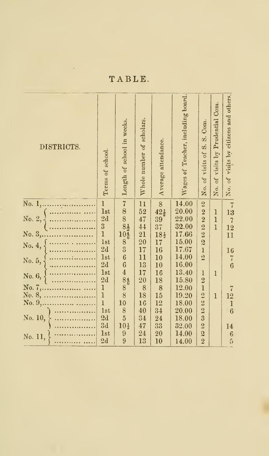| DISTRICTS. | Terms of school. | Length of school in weeks.                  | Whole number of scholars. | Average attendance. | Wages of Teacher, including board. | Com.<br>øi<br>ø<br>No. of visits of | Prudential Com.<br>No. of visits by | No. of visits by citizens and others.          |
|------------|------------------|---------------------------------------------|---------------------------|---------------------|------------------------------------|-------------------------------------|-------------------------------------|------------------------------------------------|
| No. 1,     | $\mathbf{1}$     | $7888$<br>$8\frac{1}{2}$<br>$10\frac{4}{6}$ | 11                        | $\boldsymbol{8}$    | 14.00                              | $\frac{2}{2}$                       |                                     |                                                |
|            | 1st              |                                             | 52                        | $42\frac{1}{2}$     | 20.00                              |                                     | $\mathbf{1}$                        | $\begin{array}{c} 7 \ 13 \ 7 \ 12 \end{array}$ |
| No. 2,     | $_{2d}$          |                                             | 47                        | 39                  | 22.00                              |                                     | $\mathbf{1}$                        |                                                |
| No. 3,.    | $\frac{3}{1}$    |                                             | 44<br>$\overline{21}$     | 37                  | 32.00<br>17.66                     | $\frac{2}{2}$ $\frac{2}{2}$         | $\mathbf{1}$                        |                                                |
|            | 1st              |                                             | $\overline{20}$           | 18}<br>17           | 15.00                              |                                     |                                     | 11                                             |
| No. 4,     | $2\mathrm{d}$    | $8366$<br>$888$<br>$88$                     | 17                        | 16                  | 17.67                              | $\mathbf{1}$                        |                                     | 16                                             |
|            | 1st              |                                             | $\overline{11}$           | 10                  | 14.00                              | $\overline{2}$                      |                                     |                                                |
| No. 5,     | 2d               |                                             | 13                        | 10                  | 16.00                              |                                     |                                     | $\frac{7}{6}$                                  |
|            | 1st              |                                             | 17                        | 16                  | 13.40                              | $\mathbf{1}$                        | $\mathbf{1}$                        |                                                |
| No. 6,     | 2d               |                                             | $\overline{20}$           | 18                  | 15.80                              | $\overline{2}$                      |                                     |                                                |
| No. 7,.    |                  |                                             | 8                         | 8                   | 12.00                              | $\mathbf{1}$                        |                                     | 7                                              |
| No. 8,     | $\frac{1}{1}$    |                                             | 18                        | 15                  | 19.20                              |                                     | $\mathbf{1}$                        | $\frac{12}{1}$                                 |
| No. 9,     | $\mathbf{1}$     | 10                                          | 16                        | 12                  | 18.00                              | $\frac{2}{2}$                       |                                     |                                                |
|            | 1st              | $\begin{array}{c} 8 \\ 5 \end{array}$       | 40                        | 34                  | 20.00                              |                                     |                                     |                                                |
| No. 10,    | 2d               |                                             | 34                        | 24                  | 18.00                              | $\overline{\mathbf{3}}$             |                                     |                                                |
|            | 3d               | $10\frac{1}{2}$                             | 47                        | 33                  | 32.00                              | $\frac{2}{2}$                       |                                     | 14                                             |
| No. 11,    | 1 <sub>st</sub>  | $\frac{9}{9}$                               | 24                        | 20                  | 14.00                              |                                     |                                     | $\frac{6}{5}$                                  |
|            | 2d               |                                             | 13                        | 10                  | 14.00                              |                                     |                                     |                                                |

TABLE.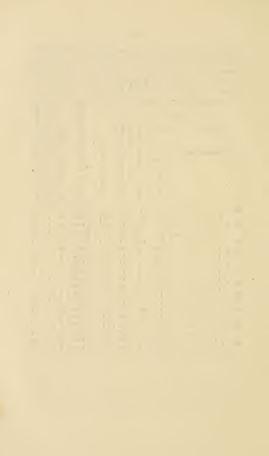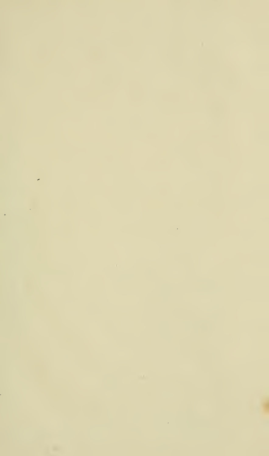f

 $\mathcal{L}^{\mathcal{L}}(\mathcal{L}^{\mathcal{L}}(\mathcal{L}^{\mathcal{L}}(\mathcal{L}^{\mathcal{L}}(\mathcal{L}^{\mathcal{L}}(\mathcal{L}^{\mathcal{L}}(\mathcal{L}^{\mathcal{L}}(\mathcal{L}^{\mathcal{L}}(\mathcal{L}^{\mathcal{L}}(\mathcal{L}^{\mathcal{L}}(\mathcal{L}^{\mathcal{L}}(\mathcal{L}^{\mathcal{L}}(\mathcal{L}^{\mathcal{L}}(\mathcal{L}^{\mathcal{L}}(\mathcal{L}^{\mathcal{L}}(\mathcal{L}^{\mathcal{L}}(\mathcal{L}^{\mathcal{L$